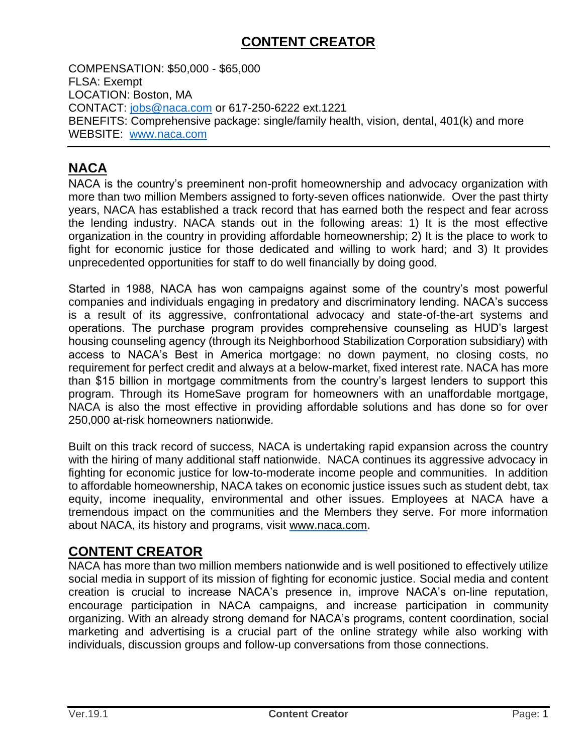### **CONTENT CREATOR**

COMPENSATION: \$50,000 - \$65,000 FLSA: Exempt LOCATION: Boston, MA CONTACT: [jobs@naca.com](mailto:jobs@naca.com) or 617-250-6222 ext.1221 BENEFITS: Comprehensive package: single/family health, vision, dental, 401(k) and more WEBSITE[:](http://www.naca.com/) [www.naca.com](http://www.naca.com/)

# **NACA**

NACA is the country's preeminent non-profit homeownership and advocacy organization with more than two million Members assigned to forty-seven offices nationwide. Over the past thirty years, NACA has established a track record that has earned both the respect and fear across the lending industry. NACA stands out in the following areas: 1) It is the most effective organization in the country in providing affordable homeownership; 2) It is the place to work to fight for economic justice for those dedicated and willing to work hard; and 3) It provides unprecedented opportunities for staff to do well financially by doing good.

Started in 1988, NACA has won campaigns against some of the country's most powerful companies and individuals engaging in predatory and discriminatory lending. NACA's success is a result of its aggressive, confrontational advocacy and state-of-the-art systems and operations. The purchase program provides comprehensive counseling as HUD's largest housing counseling agency (through its Neighborhood Stabilization Corporation subsidiary) with access to NACA's Best in America mortgage: no down payment, no closing costs, no requirement for perfect credit and always at a below-market, fixed interest rate. NACA has more than \$15 billion in mortgage commitments from the country's largest lenders to support this program. Through its HomeSave program for homeowners with an unaffordable mortgage, NACA is also the most effective in providing affordable solutions and has done so for over 250,000 at-risk homeowners nationwide.

Built on this track record of success, NACA is undertaking rapid expansion across the country with the hiring of many additional staff nationwide. NACA continues its aggressive advocacy in fighting for economic justice for low-to-moderate income people and communities. In addition to affordable homeownership, NACA takes on economic justice issues such as student debt, tax equity, income inequality, environmental and other issues. Employees at NACA have a tremendous impact on the communities and the Members they serve. For more information about NACA, its history and programs, visit [www.naca.com.](http://www.naca.com/)

### **CONTENT CREATOR**

NACA has more than two million members nationwide and is well positioned to effectively utilize social media in support of its mission of fighting for economic justice. Social media and content creation is crucial to increase NACA's presence in, improve NACA's on-line reputation, encourage participation in NACA campaigns, and increase participation in community organizing. With an already strong demand for NACA's programs, content coordination, social marketing and advertising is a crucial part of the online strategy while also working with individuals, discussion groups and follow-up conversations from those connections.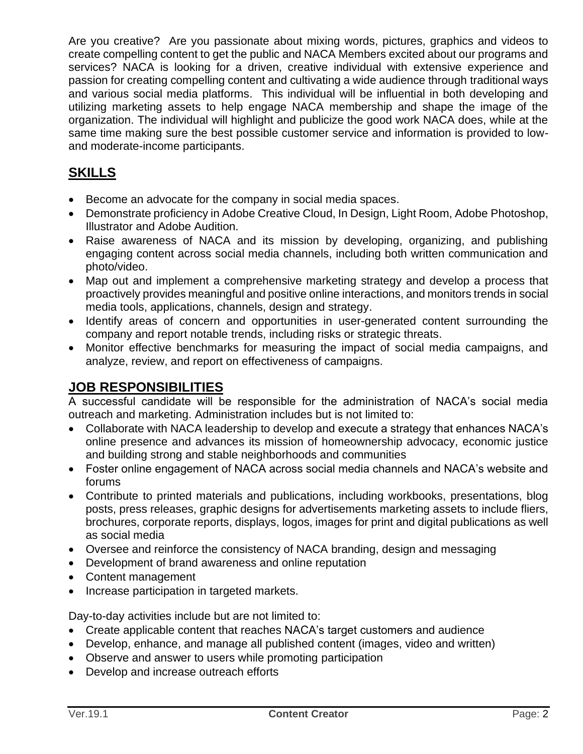Are you creative? Are you passionate about mixing words, pictures, graphics and videos to create compelling content to get the public and NACA Members excited about our programs and services? NACA is looking for a driven, creative individual with extensive experience and passion for creating compelling content and cultivating a wide audience through traditional ways and various social media platforms. This individual will be influential in both developing and utilizing marketing assets to help engage NACA membership and shape the image of the organization. The individual will highlight and publicize the good work NACA does, while at the same time making sure the best possible customer service and information is provided to lowand moderate-income participants.

# **SKILLS**

- Become an advocate for the company in social media spaces.
- Demonstrate proficiency in Adobe Creative Cloud, In Design, Light Room, Adobe Photoshop, Illustrator and Adobe Audition.
- Raise awareness of NACA and its mission by developing, organizing, and publishing engaging content across social media channels, including both written communication and photo/video.
- Map out and implement a comprehensive marketing strategy and develop a process that proactively provides meaningful and positive online interactions, and monitors trends in social media tools, applications, channels, design and strategy.
- Identify areas of concern and opportunities in user-generated content surrounding the company and report notable trends, including risks or strategic threats.
- Monitor effective benchmarks for measuring the impact of social media campaigns, and analyze, review, and report on effectiveness of campaigns.

### **JOB RESPONSIBILITIES**

A successful candidate will be responsible for the administration of NACA's social media outreach and marketing. Administration includes but is not limited to:

- Collaborate with NACA leadership to develop and execute a strategy that enhances NACA's online presence and advances its mission of homeownership advocacy, economic justice and building strong and stable neighborhoods and communities
- Foster online engagement of NACA across social media channels and NACA's website and forums
- Contribute to printed materials and publications, including workbooks, presentations, blog posts, press releases, graphic designs for advertisements marketing assets to include fliers, brochures, corporate reports, displays, logos, images for print and digital publications as well as social media
- Oversee and reinforce the consistency of NACA branding, design and messaging
- Development of brand awareness and online reputation
- Content management
- Increase participation in targeted markets.

Day-to-day activities include but are not limited to:

- Create applicable content that reaches NACA's target customers and audience
- Develop, enhance, and manage all published content (images, video and written)
- Observe and answer to users while promoting participation
- Develop and increase outreach efforts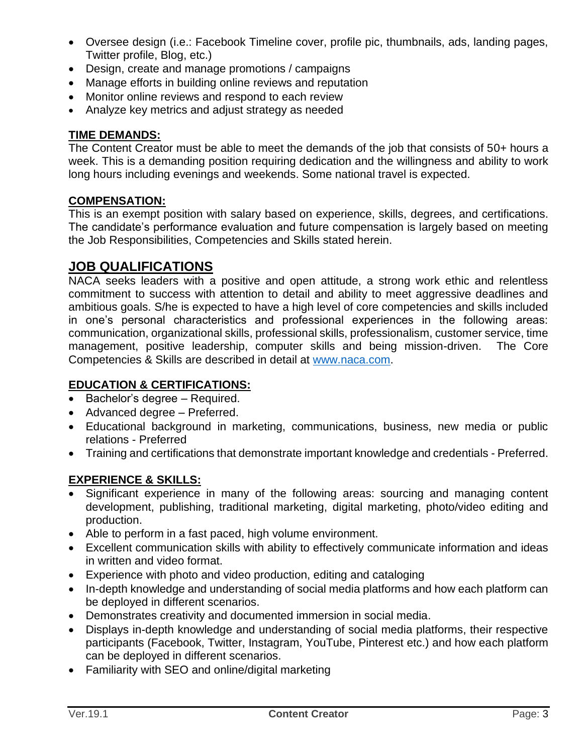- Oversee design (i.e.: Facebook Timeline cover, profile pic, thumbnails, ads, landing pages, Twitter profile, Blog, etc.)
- Design, create and manage promotions / campaigns
- Manage efforts in building online reviews and reputation
- Monitor online reviews and respond to each review
- Analyze key metrics and adjust strategy as needed

#### **TIME DEMANDS:**

The Content Creator must be able to meet the demands of the job that consists of 50+ hours a week. This is a demanding position requiring dedication and the willingness and ability to work long hours including evenings and weekends. Some national travel is expected.

#### **COMPENSATION:**

This is an exempt position with salary based on experience, skills, degrees, and certifications. The candidate's performance evaluation and future compensation is largely based on meeting the Job Responsibilities, Competencies and Skills stated herein.

### **JOB QUALIFICATIONS**

NACA seeks leaders with a positive and open attitude, a strong work ethic and relentless commitment to success with attention to detail and ability to meet aggressive deadlines and ambitious goals. S/he is expected to have a high level of core competencies and skills included in one's personal characteristics and professional experiences in the following areas: communication, organizational skills, professional skills, professionalism, customer service, time management, positive leadership, computer skills and being mission-driven. The Core Competencies & Skills are described in detail at [www.naca.com.](http://www.naca.com/)

#### **EDUCATION & CERTIFICATIONS:**

- Bachelor's degree Required.
- Advanced degree Preferred.
- Educational background in marketing, communications, business, new media or public relations - Preferred
- Training and certifications that demonstrate important knowledge and credentials Preferred.

#### **EXPERIENCE & SKILLS:**

- Significant experience in many of the following areas: sourcing and managing content development, publishing, traditional marketing, digital marketing, photo/video editing and production.
- Able to perform in a fast paced, high volume environment.
- Excellent communication skills with ability to effectively communicate information and ideas in written and video format.
- Experience with photo and video production, editing and cataloging
- In-depth knowledge and understanding of social media platforms and how each platform can be deployed in different scenarios.
- Demonstrates creativity and documented immersion in social media.
- Displays in-depth knowledge and understanding of social media platforms, their respective participants (Facebook, Twitter, Instagram, YouTube, Pinterest etc.) and how each platform can be deployed in different scenarios.
- Familiarity with SEO and online/digital marketing